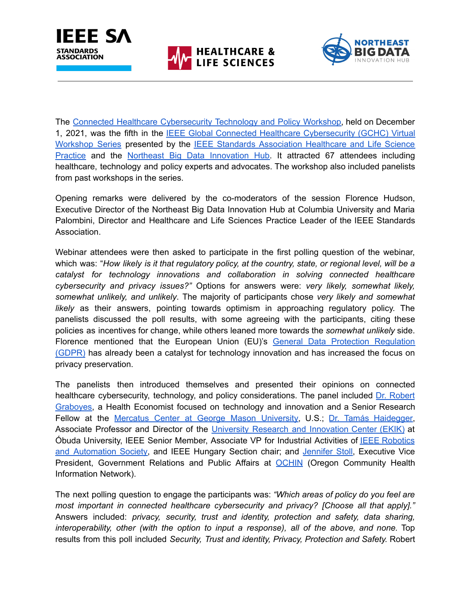





The Connected Healthcare [Cybersecurity](https://standards.ieee.org/events/gchc/nov-2021.html) Technology and Policy Workshop, held on December 1, 2021, was the fifth in the IEEE Global Connected Healthcare [Cybersecurity](https://standards.ieee.org/practices/healthcare-life-sciences/gchc.html) (GCHC) Virtual [Workshop](https://standards.ieee.org/practices/healthcare-life-sciences/gchc.html) Series presented by the IEEE Standards [Association](https://standards.ieee.org/practices/healthcare-life-sciences/index.html) Healthcare and Life Science [Practice](https://standards.ieee.org/practices/healthcare-life-sciences/index.html) and the Northeast Big Data [Innovation](http://nebigdatahub.org/) Hub. It attracted 67 attendees including healthcare, technology and policy experts and advocates. The workshop also included panelists from past workshops in the series.

Opening remarks were delivered by the co-moderators of the session Florence Hudson, Executive Director of the Northeast Big Data Innovation Hub at Columbia University and Maria Palombini, Director and Healthcare and Life Sciences Practice Leader of the IEEE Standards Association.

Webinar attendees were then asked to participate in the first polling question of the webinar, which was: "*How likely is it that regulatory policy, at the country, state, or regional level, will be a catalyst for technology innovations and collaboration in solving connected healthcare cybersecurity and privacy issues?"* Options for answers were: *very likely, somewhat likely, somewhat unlikely, and unlikely*. The majority of participants chose *very likely and somewhat likely* as their answers, pointing towards optimism in approaching regulatory policy. The panelists discussed the poll results, with some agreeing with the participants, citing these policies as incentives for change, while others leaned more towards the *somewhat unlikely* side. Florence mentioned that the European Union (EU)'s General Data Protection [Regulation](https://gdpr-info.eu/) [\(GDPR\)](https://gdpr-info.eu/) has already been a catalyst for technology innovation and has increased the focus on privacy preservation.

The panelists then introduced themselves and presented their opinions on connected healthcare cybersecurity, technology, and policy considerations. The panel included Dr. [Robert](https://www.linkedin.com/in/robert-graboyes-5b82a13/) [Graboyes,](https://www.linkedin.com/in/robert-graboyes-5b82a13/) a Health Economist focused on technology and innovation and a Senior Research Fellow at the Mercatus Center at George Mason [University,](https://www.mercatus.org/) U.S.; Dr. Tamás [Haidegger,](https://www.linkedin.com/in/haidegger/) Associate Professor and Director of the University Research and [Innovation](https://ekik.uni-obuda.hu/content/r%C3%B3lunk) Center (EKIK) at Óbuda University, IEEE Senior Member, Associate VP for Industrial Activities of IEEE [Robotics](http://www.ieee-ras.org/) and [Automation](http://www.ieee-ras.org/) Society, and IEEE Hungary Section chair; and [Jennifer](https://www.linkedin.com/in/jennifer-stoll-00706011/) Stoll, Executive Vice President, Government Relations and Public Affairs at [OCHIN](https://ochin.org/) (Oregon Community Health Information Network).

The next polling question to engage the participants was: *"Which areas of policy do you feel are most important in connected healthcare cybersecurity and privacy? [Choose all that apply]."* Answers included: *privacy, security, trust and identity, protection and safety, data sharing, interoperability, other (with the option to input a response), all of the above, and none.* Top results from this poll included *Security, Trust and identity, Privacy, Protection and Safety.* Robert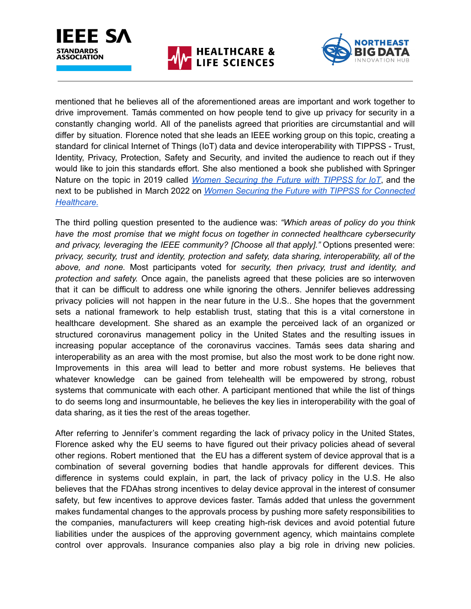





mentioned that he believes all of the aforementioned areas are important and work together to drive improvement. Tamás commented on how people tend to give up privacy for security in a constantly changing world. All of the panelists agreed that priorities are circumstantial and will differ by situation. Florence noted that she leads an IEEE working group on this topic, creating a standard for clinical Internet of Things (IoT) data and device interoperability with TIPPSS - Trust, Identity, Privacy, Protection, Safety and Security, and invited the audience to reach out if they would like to join this standards effort. She also mentioned a book she published with Springer Nature on the topic in 2019 called *Women [Securing](https://link.springer.com/book/10.1007/978-3-030-15705-0) the Future with TIPPSS for IoT*, and the next to be published in March 2022 on *Women Securing the Future with TIPPSS for [Connected](https://link.springer.com/book/9783030935917) [Healthcare.](https://link.springer.com/book/9783030935917)*

The third polling question presented to the audience was: *"Which areas of policy do you think have the most promise that we might focus on together in connected healthcare cybersecurity and privacy, leveraging the IEEE community? [Choose all that apply]."* Options presented were: *privacy, security, trust and identity, protection and safety, data sharing, interoperability, all of the above, and none.* Most participants voted for *security, then privacy, trust and identity, and protection and safety.* Once again, the panelists agreed that these policies are so interwoven that it can be difficult to address one while ignoring the others. Jennifer believes addressing privacy policies will not happen in the near future in the U.S.. She hopes that the government sets a national framework to help establish trust, stating that this is a vital cornerstone in healthcare development. She shared as an example the perceived lack of an organized or structured coronavirus management policy in the United States and the resulting issues in increasing popular acceptance of the coronavirus vaccines. Tamás sees data sharing and interoperability as an area with the most promise, but also the most work to be done right now. Improvements in this area will lead to better and more robust systems. He believes that whatever knowledge can be gained from telehealth will be empowered by strong, robust systems that communicate with each other. A participant mentioned that while the list of things to do seems long and insurmountable, he believes the key lies in interoperability with the goal of data sharing, as it ties the rest of the areas together.

After referring to Jennifer's comment regarding the lack of privacy policy in the United States, Florence asked why the EU seems to have figured out their privacy policies ahead of several other regions. Robert mentioned that the EU has a different system of device approval that is a combination of several governing bodies that handle approvals for different devices. This difference in systems could explain, in part, the lack of privacy policy in the U.S. He also believes that the FDAhas strong incentives to delay device approval in the interest of consumer safety, but few incentives to approve devices faster. Tamás added that unless the government makes fundamental changes to the approvals process by pushing more safety responsibilities to the companies, manufacturers will keep creating high-risk devices and avoid potential future liabilities under the auspices of the approving government agency, which maintains complete control over approvals. Insurance companies also play a big role in driving new policies.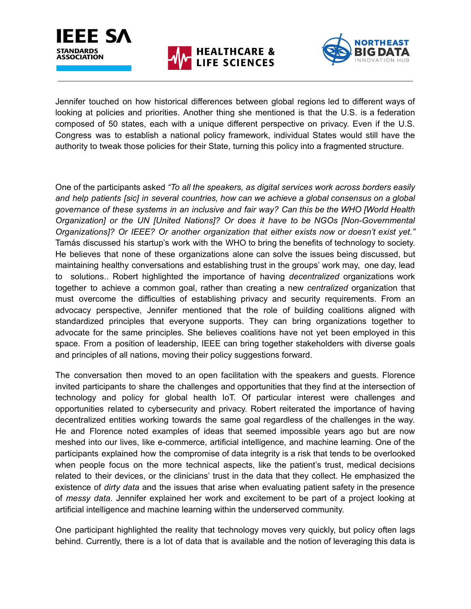





Jennifer touched on how historical differences between global regions led to different ways of looking at policies and priorities. Another thing she mentioned is that the U.S. is a federation composed of 50 states, each with a unique different perspective on privacy. Even if the U.S. Congress was to establish a national policy framework, individual States would still have the authority to tweak those policies for their State, turning this policy into a fragmented structure.

One of the participants asked *"To all the speakers, as digital services work across borders easily and help patients [sic] in several countries, how can we achieve a global consensus on a global governance of these systems in an inclusive and fair way? Can this be the WHO [World Health Organization] or the UN [United Nations]? Or does it have to be NGOs [Non-Governmental Organizations]? Or IEEE? Or another organization that either exists now or doesn't exist yet."* Tamás discussed his startup's work with the WHO to bring the benefits of technology to society. He believes that none of these organizations alone can solve the issues being discussed, but maintaining healthy conversations and establishing trust in the groups' work may, one day, lead to solutions.. Robert highlighted the importance of having *decentralized* organizations work together to achieve a common goal, rather than creating a new *centralized* organization that must overcome the difficulties of establishing privacy and security requirements. From an advocacy perspective, Jennifer mentioned that the role of building coalitions aligned with standardized principles that everyone supports. They can bring organizations together to advocate for the same principles. She believes coalitions have not yet been employed in this space. From a position of leadership, IEEE can bring together stakeholders with diverse goals and principles of all nations, moving their policy suggestions forward.

The conversation then moved to an open facilitation with the speakers and guests. Florence invited participants to share the challenges and opportunities that they find at the intersection of technology and policy for global health IoT. Of particular interest were challenges and opportunities related to cybersecurity and privacy. Robert reiterated the importance of having decentralized entities working towards the same goal regardless of the challenges in the way. He and Florence noted examples of ideas that seemed impossible years ago but are now meshed into our lives, like e-commerce, artificial intelligence, and machine learning. One of the participants explained how the compromise of data integrity is a risk that tends to be overlooked when people focus on the more technical aspects, like the patient's trust, medical decisions related to their devices, or the clinicians' trust in the data that they collect. He emphasized the existence of *dirty data* and the issues that arise when evaluating patient safety in the presence of *messy data*. Jennifer explained her work and excitement to be part of a project looking at artificial intelligence and machine learning within the underserved community.

One participant highlighted the reality that technology moves very quickly, but policy often lags behind. Currently, there is a lot of data that is available and the notion of leveraging this data is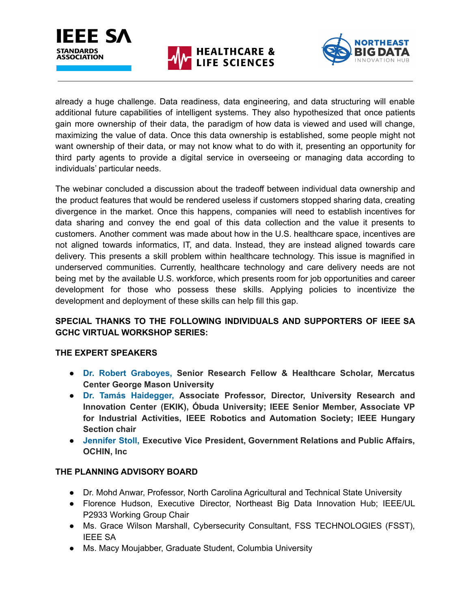



already a huge challenge. Data readiness, data engineering, and data structuring will enable additional future capabilities of intelligent systems. They also hypothesized that once patients gain more ownership of their data, the paradigm of how data is viewed and used will change, maximizing the value of data. Once this data ownership is established, some people might not want ownership of their data, or may not know what to do with it, presenting an opportunity for third party agents to provide a digital service in overseeing or managing data according to individuals' particular needs.

The webinar concluded a discussion about the tradeoff between individual data ownership and the product features that would be rendered useless if customers stopped sharing data, creating divergence in the market. Once this happens, companies will need to establish incentives for data sharing and convey the end goal of this data collection and the value it presents to customers. Another comment was made about how in the U.S. healthcare space, incentives are not aligned towards informatics, IT, and data. Instead, they are instead aligned towards care delivery. This presents a skill problem within healthcare technology. This issue is magnified in underserved communities. Currently, healthcare technology and care delivery needs are not being met by the available U.S. workforce, which presents room for job opportunities and career development for those who possess these skills. Applying policies to incentivize the development and deployment of these skills can help fill this gap.

## **SPECIAL THANKS TO THE FOLLOWING INDIVIDUALS AND SUPPORTERS OF IEEE SA GCHC VIRTUAL WORKSHOP SERIES:**

## **THE EXPERT SPEAKERS**

- **Dr. Robert [Graboyes,](https://www.linkedin.com/in/robert-graboyes-5b82a13/) Senior Research Fellow & Healthcare Scholar, Mercatus Center George Mason University**
- **Dr. Tamás [Haidegger,](https://www.linkedin.com/in/haidegger/) Associate Professor, Director, University Research and Innovation Center (EKIK), Óbuda University; IEEE Senior Member, Associate VP for Industrial Activities, IEEE Robotics and Automation Society; IEEE Hungary Section chair**
- **[Jennifer](https://www.linkedin.com/in/jennifer-stoll-00706011/) Stoll, Executive Vice President, Government Relations and Public Affairs, OCHIN, Inc**

## **THE PLANNING ADVISORY BOARD**

- Dr. Mohd Anwar, Professor, North Carolina Agricultural and Technical State University
- Florence Hudson, Executive Director, Northeast Big Data Innovation Hub; IEEE/UL P2933 Working Group Chair
- Ms. Grace Wilson Marshall, Cybersecurity Consultant, FSS TECHNOLOGIES (FSST), IEEE SA
- Ms. Macy Moujabber, Graduate Student, Columbia University